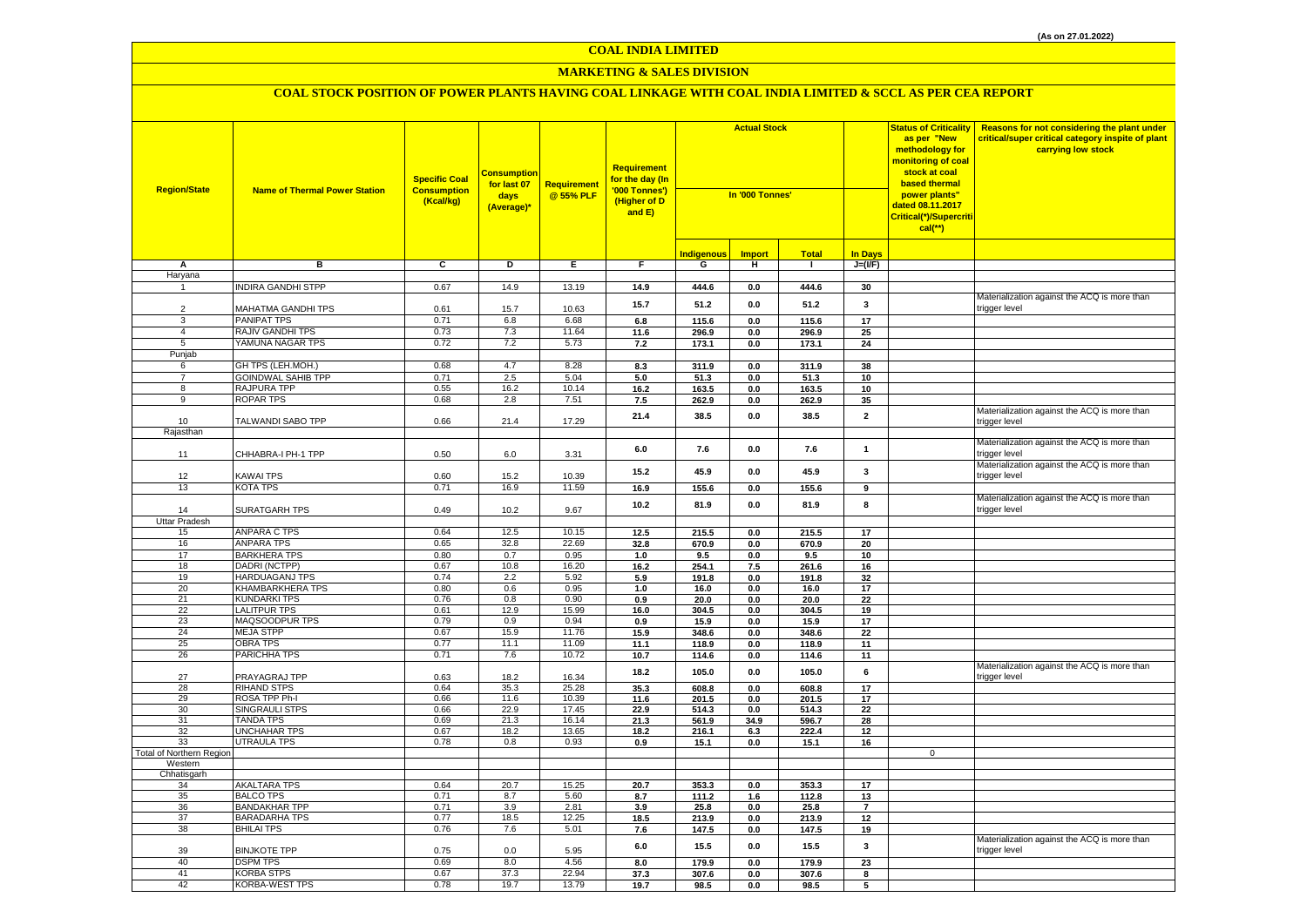# **MARKETING & SALES DIVISION**

| <b>Region/State</b>                 | <b>Name of Thermal Power Station</b>      | <b>Specific Coal</b><br><b>Consumption</b><br>(Kcal/kg) | <b>Consumption</b><br>for last 07<br>days<br>(Average)* | <b>Requirement</b><br>@55% PLF | <b>Requirement</b><br>for the day (In<br>'000 Tonnes')<br>(Higher of D<br>and E) | <b>Actual Stock</b><br>In '000 Tonnes' |                |                |                 |             |                                                               | <b>Status of Criticality</b><br>as per "New<br>methodology for<br><mark>monitoring of coal</mark><br>stock at coal<br>based thermal<br>power plants"<br>dated 08.11.2017<br>Critical(*)/Supercriti<br>$cal$ (**) | Reasons for not considering the plant under<br>critical/super critical category inspite of plant<br>carrying low stock |
|-------------------------------------|-------------------------------------------|---------------------------------------------------------|---------------------------------------------------------|--------------------------------|----------------------------------------------------------------------------------|----------------------------------------|----------------|----------------|-----------------|-------------|---------------------------------------------------------------|------------------------------------------------------------------------------------------------------------------------------------------------------------------------------------------------------------------|------------------------------------------------------------------------------------------------------------------------|
|                                     |                                           |                                                         |                                                         |                                |                                                                                  |                                        |                |                |                 |             |                                                               |                                                                                                                                                                                                                  |                                                                                                                        |
|                                     |                                           | $\overline{\mathfrak{c}}$                               |                                                         |                                |                                                                                  | <b>Indigenous</b>                      | <b>Import</b>  | <b>Total</b>   | <b>In Days</b>  |             |                                                               |                                                                                                                                                                                                                  |                                                                                                                        |
| А<br>Haryana                        | в                                         |                                                         | D                                                       | Е.                             | F                                                                                | G                                      | н.             | -1             | $J=(I/F)$       |             |                                                               |                                                                                                                                                                                                                  |                                                                                                                        |
|                                     | <b>INDIRA GANDHI STPP</b>                 | 0.67                                                    | 14.9                                                    | 13.19                          | 14.9                                                                             | 444.6                                  | 0.0            | 444.6          | 30              |             |                                                               |                                                                                                                                                                                                                  |                                                                                                                        |
| $\overline{2}$                      | MAHATMA GANDHI TPS                        | 0.61                                                    | 15.7                                                    | 10.63                          | 15.7                                                                             | 51.2                                   | 0.0            | 51.2           | 3               |             | Materialization against the ACQ is more than<br>trigger level |                                                                                                                                                                                                                  |                                                                                                                        |
| 3                                   | PANIPAT TPS                               | 0.71                                                    | 6.8                                                     | 6.68                           | 6.8                                                                              | 115.6                                  | 0.0            | 115.6          | 17              |             |                                                               |                                                                                                                                                                                                                  |                                                                                                                        |
| $\sqrt{4}$                          | RAJIV GANDHI TPS                          | 0.73                                                    | 7.3                                                     | 11.64                          | 11.6                                                                             | 296.9                                  | 0.0            | 296.9          | 25              |             |                                                               |                                                                                                                                                                                                                  |                                                                                                                        |
| 5                                   | YAMUNA NAGAR TPS                          | 0.72                                                    | 7.2                                                     | 5.73                           | 7.2                                                                              | 173.1                                  | 0.0            | 173.1          | 24              |             |                                                               |                                                                                                                                                                                                                  |                                                                                                                        |
| Punjab<br>6                         | GH TPS (LEH.MOH.)                         | 0.68                                                    | 4.7                                                     | 8.28                           | 8.3                                                                              | 311.9                                  | 0.0            | 311.9          | 38              |             |                                                               |                                                                                                                                                                                                                  |                                                                                                                        |
| $\overline{7}$                      | <b>GOINDWAL SAHIB TPP</b>                 | 0.71                                                    | 2.5                                                     | 5.04                           | 5.0                                                                              | 51.3                                   | $0.0\,$        | 51.3           | 10              |             |                                                               |                                                                                                                                                                                                                  |                                                                                                                        |
| 8                                   | <b>RAJPURA TPP</b>                        | 0.55                                                    | 16.2                                                    | 10.14                          | 16.2                                                                             | 163.5                                  | 0.0            | 163.5          | 10              |             |                                                               |                                                                                                                                                                                                                  |                                                                                                                        |
| 9                                   | <b>ROPAR TPS</b>                          | 0.68                                                    | 2.8                                                     | 7.51                           | 7.5                                                                              | 262.9                                  | 0.0            | 262.9          | 35              |             |                                                               |                                                                                                                                                                                                                  |                                                                                                                        |
| 10                                  | TALWANDI SABO TPP                         | 0.66                                                    | 21.4                                                    | 17.29                          | 21.4                                                                             | 38.5                                   | 0.0            | 38.5           | $\mathbf{2}$    |             | Materialization against the ACQ is more than<br>trigger level |                                                                                                                                                                                                                  |                                                                                                                        |
| Rajasthan                           |                                           |                                                         |                                                         |                                |                                                                                  |                                        |                |                |                 |             | Materialization against the ACQ is more than                  |                                                                                                                                                                                                                  |                                                                                                                        |
| 11                                  | CHHABRA-I PH-1 TPP                        | 0.50                                                    | 6.0                                                     | 3.31                           | $6.0\,$                                                                          | 7.6                                    | 0.0            | 7.6            | $\mathbf{1}$    |             | trigger level<br>Materialization against the ACQ is more than |                                                                                                                                                                                                                  |                                                                                                                        |
| 12                                  | KAWAI TPS                                 | 0.60                                                    | 15.2                                                    | 10.39                          | 15.2                                                                             | 45.9                                   | $0.0\,$        | 45.9           | 3               |             | trigger level                                                 |                                                                                                                                                                                                                  |                                                                                                                        |
| 13                                  | KOTA TPS                                  | 0.71                                                    | 16.9                                                    | 11.59                          | 16.9                                                                             | 155.6                                  | $0.0\,$        | 155.6          | 9               |             |                                                               |                                                                                                                                                                                                                  |                                                                                                                        |
| 14                                  | <b>SURATGARH TPS</b>                      | 0.49                                                    | 10.2                                                    | 9.67                           | 10.2                                                                             | 81.9                                   | $0.0\,$        | 81.9           | 8               |             | Materialization against the ACQ is more than<br>trigger level |                                                                                                                                                                                                                  |                                                                                                                        |
| <b>Uttar Pradesh</b>                |                                           |                                                         |                                                         |                                |                                                                                  |                                        |                |                |                 |             |                                                               |                                                                                                                                                                                                                  |                                                                                                                        |
| 15<br>16                            | ANPARA C TPS<br>ANPARA TPS                | 0.64<br>0.65                                            | 12.5<br>32.8                                            | 10.15<br>22.69                 | 12.5                                                                             | 215.5                                  | 0.0            | 215.5          | 17<br>20        |             |                                                               |                                                                                                                                                                                                                  |                                                                                                                        |
| 17                                  | <b>BARKHERA TPS</b>                       | 0.80                                                    | 0.7                                                     | 0.95                           | 32.8<br>1.0                                                                      | 670.9<br>9.5                           | 0.0<br>0.0     | 670.9<br>9.5   | 10              |             |                                                               |                                                                                                                                                                                                                  |                                                                                                                        |
| 18                                  | DADRI (NCTPP)                             | 0.67                                                    | 10.8                                                    | 16.20                          | 16.2                                                                             | 254.1                                  | 7.5            | 261.6          | 16              |             |                                                               |                                                                                                                                                                                                                  |                                                                                                                        |
| 19                                  | <b>HARDUAGANJ TPS</b>                     | 0.74                                                    | 2.2                                                     | 5.92                           | 5.9                                                                              | 191.8                                  | 0.0            | 191.8          | 32              |             |                                                               |                                                                                                                                                                                                                  |                                                                                                                        |
| 20                                  | <b>KHAMBARKHERA TPS</b>                   | 0.80                                                    | 0.6                                                     | 0.95                           | 1.0                                                                              | 16.0                                   | 0.0            | 16.0           | 17              |             |                                                               |                                                                                                                                                                                                                  |                                                                                                                        |
| 21                                  | <b>KUNDARKI TPS</b>                       | 0.76                                                    | 0.8                                                     | 0.90                           | 0.9                                                                              | 20.0                                   | 0.0            | 20.0           | 22              |             |                                                               |                                                                                                                                                                                                                  |                                                                                                                        |
| 22<br>23                            | <b>LALITPUR TPS</b><br>MAQSOODPUR TPS     | 0.61<br>0.79                                            | 12.9<br>0.9                                             | 15.99<br>0.94                  | 16.0<br>0.9                                                                      | 304.5<br>15.9                          | 0.0<br>$0.0\,$ | 304.5<br>15.9  | 19<br>17        |             |                                                               |                                                                                                                                                                                                                  |                                                                                                                        |
| 24                                  | <b>MEJA STPP</b>                          | 0.67                                                    | 15.9                                                    | 11.76                          | 15.9                                                                             | 348.6                                  | 0.0            | 348.6          | 22              |             |                                                               |                                                                                                                                                                                                                  |                                                                                                                        |
| 25                                  | <b>OBRA TPS</b>                           | 0.77                                                    | 11.1                                                    | 11.09                          | 11.1                                                                             | 118.9                                  | $0.0\,$        | 118.9          | 11              |             |                                                               |                                                                                                                                                                                                                  |                                                                                                                        |
| 26                                  | PARICHHA TPS                              | 0.71                                                    | 7.6                                                     | 10.72                          | 10.7                                                                             | 114.6                                  | $0.0\,$        | 114.6          | 11              |             |                                                               |                                                                                                                                                                                                                  |                                                                                                                        |
| 27                                  | PRAYAGRAJ TPP                             | 0.63                                                    | 18.2                                                    | 16.34                          | 18.2                                                                             | 105.0                                  | 0.0            | 105.0          | 6               |             | Materialization against the ACQ is more than<br>trigger level |                                                                                                                                                                                                                  |                                                                                                                        |
| 28<br>29                            | RIHAND STPS<br>ROSA TPP Ph-I              | 0.64<br>0.66                                            | 35.3<br>11.6                                            | 25.28<br>10.39                 | 35.3<br>11.6                                                                     | 608.8<br>201.5                         | 0.0<br>0.0     | 608.8<br>201.5 | 17<br>17        |             |                                                               |                                                                                                                                                                                                                  |                                                                                                                        |
| 30                                  | <b>SINGRAULI STPS</b>                     | 0.66                                                    | 22.9                                                    | 17.45                          | 22.9                                                                             | 514.3                                  | 0.0            | 514.3          | $\overline{22}$ |             |                                                               |                                                                                                                                                                                                                  |                                                                                                                        |
| 31                                  | <b>TANDA TPS</b>                          | 0.69                                                    | 21.3                                                    | 16.14                          | 21.3                                                                             | 561.9                                  | 34.9           | 596.7          | 28              |             |                                                               |                                                                                                                                                                                                                  |                                                                                                                        |
| 32                                  | <b>UNCHAHAR TPS</b>                       | 0.67                                                    | 18.2                                                    | 13.65                          | 18.2                                                                             | 216.1                                  | 6.3            | 222.4          | 12              |             |                                                               |                                                                                                                                                                                                                  |                                                                                                                        |
| 33                                  | <b>UTRAULA TPS</b>                        | 0.78                                                    | 0.8                                                     | 0.93                           | 0.9                                                                              | 15.1                                   | 0.0            | 15.1           | 16              |             |                                                               |                                                                                                                                                                                                                  |                                                                                                                        |
| Total of Northern Region<br>Western |                                           |                                                         |                                                         |                                |                                                                                  |                                        |                |                |                 | $\mathbf 0$ |                                                               |                                                                                                                                                                                                                  |                                                                                                                        |
| Chhatisgarh                         |                                           |                                                         |                                                         |                                |                                                                                  |                                        |                |                |                 |             |                                                               |                                                                                                                                                                                                                  |                                                                                                                        |
| 34                                  | <b>AKALTARA TPS</b>                       | 0.64                                                    | 20.7                                                    | 15.25                          | 20.7                                                                             | 353.3                                  | 0.0            | 353.3          | 17              |             |                                                               |                                                                                                                                                                                                                  |                                                                                                                        |
| 35                                  | <b>BALCO TPS</b>                          | 0.71                                                    | 8.7                                                     | 5.60                           | 8.7                                                                              | 111.2                                  | 1.6            | 112.8          | 13              |             |                                                               |                                                                                                                                                                                                                  |                                                                                                                        |
| 36                                  | <b>BANDAKHAR TPP</b>                      | 0.71                                                    | 3.9                                                     | 2.81                           | 3.9                                                                              | 25.8                                   | 0.0            | 25.8           | $\overline{7}$  |             |                                                               |                                                                                                                                                                                                                  |                                                                                                                        |
| 37<br>38                            | <b>BARADARHA TPS</b><br><b>BHILAI TPS</b> | 0.77<br>0.76                                            | 18.5<br>7.6                                             | 12.25<br>5.01                  | 18.5<br>7.6                                                                      | 213.9<br>147.5                         | $0.0\,$        | 213.9<br>147.5 | 12<br>19        |             |                                                               |                                                                                                                                                                                                                  |                                                                                                                        |
| 39                                  | <b>BINJKOTE TPP</b>                       | 0.75                                                    | 0.0                                                     | 5.95                           | 6.0                                                                              | 15.5                                   | 0.0<br>0.0     | 15.5           | 3               |             | Materialization against the ACQ is more than<br>trigger level |                                                                                                                                                                                                                  |                                                                                                                        |
| 40                                  | <b>DSPM TPS</b>                           | 0.69                                                    | 8.0                                                     | 4.56                           | 8.0                                                                              | 179.9                                  | 0.0            | 179.9          | 23              |             |                                                               |                                                                                                                                                                                                                  |                                                                                                                        |
| 41                                  | <b>KORBA STPS</b>                         | 0.67                                                    | 37.3                                                    | 22.94                          | 37.3                                                                             | 307.6                                  | 0.0            | 307.6          | 8               |             |                                                               |                                                                                                                                                                                                                  |                                                                                                                        |
| 42                                  | KORBA-WEST TPS                            | 0.78                                                    | 19.7                                                    | 13.79                          | 19.7                                                                             | 98.5                                   | 0.0            | 98.5           | 5               |             |                                                               |                                                                                                                                                                                                                  |                                                                                                                        |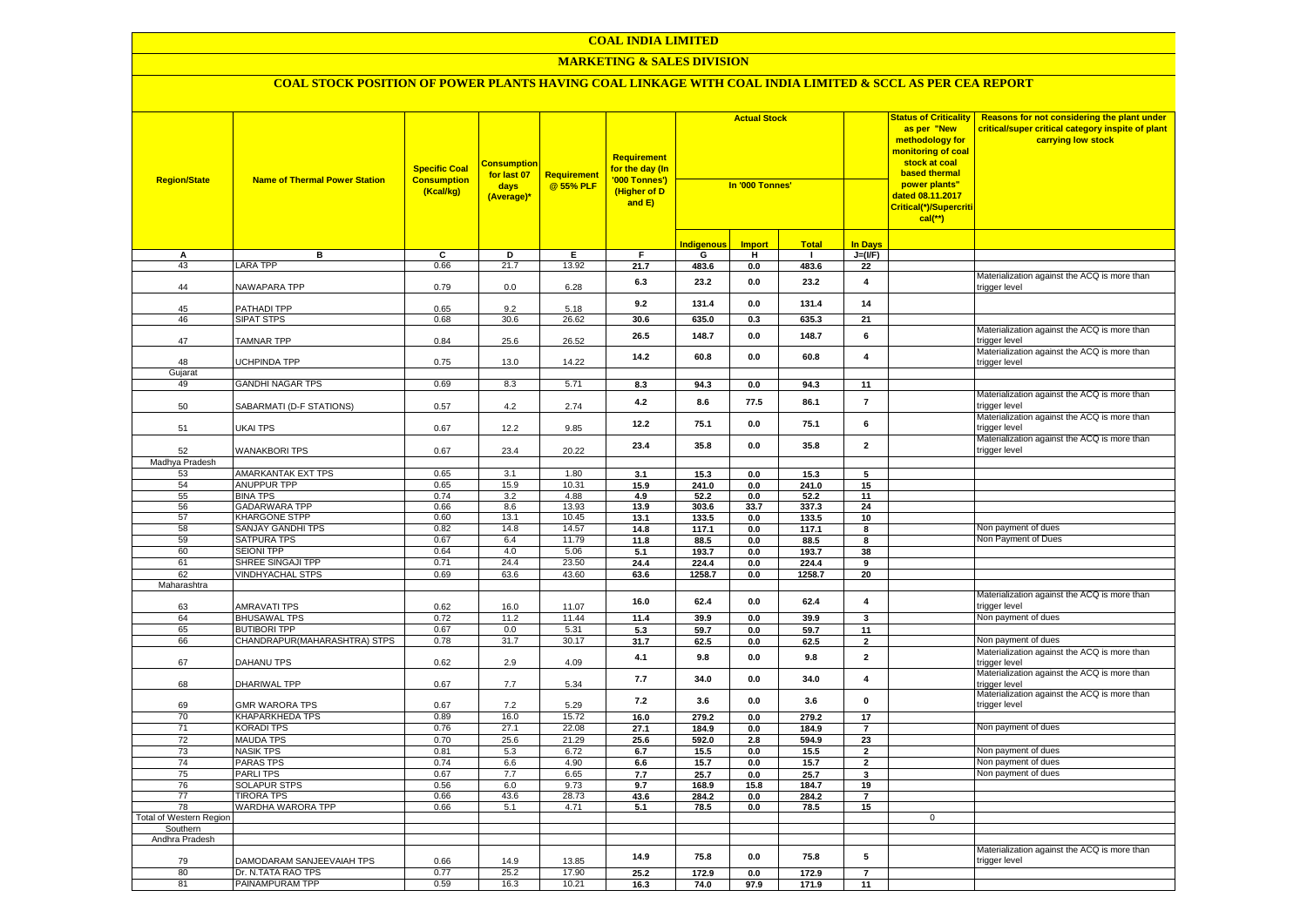# **MARKETING & SALES DIVISION**

| <b>Region/State</b>        | <b>Name of Thermal Power Station</b> | <b>Specific Coal</b><br><b>Consumption</b><br>(Kcal/kg) | <u>Consumptior</u><br>for last 07<br>days<br>(Average)* | <b>Requirement</b><br>@55% PLF | Requirement<br>for the day (In<br>'000 Tonnes')<br>(Higher of D<br>and E) | <b>Actual Stock</b><br>In '000 Tonnes' |                |               | <b>Status of Criticality</b><br>as per "New<br>methodology for<br>monitoring of coal<br>stock at coal<br><b>based thermal</b><br>power plants"<br>dated 08.11.2017<br>Critical(*)/Supercriti<br>$cal$ (**) | Reasons for not considering the plant under<br>critical/super critical category inspite of plant<br>carrying low stock |                                                               |
|----------------------------|--------------------------------------|---------------------------------------------------------|---------------------------------------------------------|--------------------------------|---------------------------------------------------------------------------|----------------------------------------|----------------|---------------|------------------------------------------------------------------------------------------------------------------------------------------------------------------------------------------------------------|------------------------------------------------------------------------------------------------------------------------|---------------------------------------------------------------|
|                            |                                      |                                                         |                                                         |                                |                                                                           | <b>Indigenous</b>                      | <b>Import</b>  | <b>Total</b>  | <b>In Days</b>                                                                                                                                                                                             |                                                                                                                        |                                                               |
| А                          | в                                    | C                                                       | D                                                       | Е                              | F.                                                                        | G                                      | н              | $\mathbf{I}$  | $J=(I/F)$                                                                                                                                                                                                  |                                                                                                                        |                                                               |
| 43                         | <b>LARA TPP</b>                      | 0.66                                                    | 21.7                                                    | 13.92                          | 21.7                                                                      | 483.6                                  | 0.0            | 483.6         | 22                                                                                                                                                                                                         |                                                                                                                        |                                                               |
| 44                         | NAWAPARA TPP                         | 0.79                                                    | 0.0                                                     | 6.28                           | 6.3                                                                       | 23.2                                   | 0.0            | 23.2          | $\overline{4}$                                                                                                                                                                                             |                                                                                                                        | Materialization against the ACQ is more than<br>trigger level |
| 45                         |                                      |                                                         | 9.2                                                     |                                | 9.2                                                                       | 131.4                                  | 0.0            | 131.4         | 14                                                                                                                                                                                                         |                                                                                                                        |                                                               |
| 46                         | PATHADI TPP<br><b>SIPAT STPS</b>     | 0.65<br>0.68                                            | 30.6                                                    | 5.18<br>26.62                  | 30.6                                                                      | 635.0                                  | 0.3            | 635.3         | 21                                                                                                                                                                                                         |                                                                                                                        |                                                               |
| 47                         | TAMNAR TPP                           | 0.84                                                    | 25.6                                                    | 26.52                          | 26.5                                                                      | 148.7                                  | 0.0            | 148.7         | 6                                                                                                                                                                                                          |                                                                                                                        | Materialization against the ACQ is more than<br>trigger level |
| 48                         | <b>JCHPINDA TPP</b>                  | 0.75                                                    | 13.0                                                    | 14.22                          | 14.2                                                                      | 60.8                                   | $0.0\,$        | 60.8          | $\pmb{4}$                                                                                                                                                                                                  |                                                                                                                        | Materialization against the ACQ is more than<br>trigger level |
| Gujarat                    |                                      |                                                         |                                                         |                                |                                                                           |                                        |                |               |                                                                                                                                                                                                            |                                                                                                                        |                                                               |
| 49                         | <b>GANDHI NAGAR TPS</b>              | 0.69                                                    | 8.3                                                     | 5.71                           | 8.3                                                                       | 94.3                                   | 0.0            | 94.3          | 11                                                                                                                                                                                                         |                                                                                                                        | Materialization against the ACQ is more than                  |
| 50                         | SABARMATI (D-F STATIONS)             | 0.57                                                    | 4.2                                                     | 2.74                           | 4.2                                                                       | 8.6                                    | 77.5           | 86.1          | $\overline{7}$                                                                                                                                                                                             |                                                                                                                        | trigger level                                                 |
| 51                         | UKAI TPS                             | 0.67                                                    | 12.2                                                    | 9.85                           | 12.2                                                                      | 75.1                                   | 0.0            | 75.1          | 6                                                                                                                                                                                                          |                                                                                                                        | Materialization against the ACQ is more than<br>trigger level |
| 52                         | <b>WANAKBORI TPS</b>                 | 0.67                                                    | 23.4                                                    | 20.22                          | 23.4                                                                      | 35.8                                   | $0.0\,$        | 35.8          | $\mathbf 2$                                                                                                                                                                                                |                                                                                                                        | Materialization against the ACQ is more than<br>trigger level |
| Madhya Pradesh             | AMARKANTAK EXT TPS                   | 0.65                                                    | 3.1                                                     | 1.80                           |                                                                           |                                        |                |               |                                                                                                                                                                                                            |                                                                                                                        |                                                               |
| 53<br>54                   | <b>ANUPPUR TPP</b>                   | 0.65                                                    | 15.9                                                    | 10.31                          | 3.1<br>15.9                                                               | 15.3<br>241.0                          | 0.0<br>0.0     | 15.3<br>241.0 | 5<br>15                                                                                                                                                                                                    |                                                                                                                        |                                                               |
| 55                         | <b>BINA TPS</b>                      | 0.74                                                    | 3.2                                                     | 4.88                           | 4.9                                                                       | 52.2                                   | 0.0            | 52.2          | 11                                                                                                                                                                                                         |                                                                                                                        |                                                               |
| 56                         | <b>GADARWARA TPP</b>                 | 0.66                                                    | 8.6                                                     | 13.93                          | 13.9                                                                      | 303.6                                  | 33.7           | 337.3         | 24                                                                                                                                                                                                         |                                                                                                                        |                                                               |
| 57                         | <b>KHARGONE STPP</b>                 | 0.60                                                    | 13.1                                                    | 10.45                          | 13.1                                                                      | 133.5                                  | 0.0            | 133.5         | 10                                                                                                                                                                                                         |                                                                                                                        |                                                               |
| 58                         | SANJAY GANDHI TPS                    | 0.82                                                    | 14.8                                                    | 14.57                          | 14.8                                                                      | 117.1                                  | 0.0            | 117.1         | 8                                                                                                                                                                                                          |                                                                                                                        | Non payment of dues                                           |
| 59                         | <b>SATPURA TPS</b>                   | 0.67                                                    | 6.4                                                     | 11.79                          | 11.8                                                                      | 88.5                                   | $0.0\,$        | 88.5          | 8                                                                                                                                                                                                          |                                                                                                                        | Non Payment of Dues                                           |
| 60                         | <b>SEIONI TPP</b>                    | 0.64                                                    | 4.0                                                     | 5.06                           | 5.1                                                                       | 193.7                                  | 0.0            | 193.7         | 38                                                                                                                                                                                                         |                                                                                                                        |                                                               |
| 61                         | SHREE SINGAJI TPP                    | 0.71                                                    | 24.4                                                    | 23.50                          | 24.4                                                                      | 224.4                                  | 0.0            | 224.4         | 9                                                                                                                                                                                                          |                                                                                                                        |                                                               |
| 62<br>Maharashtra          | <b>VINDHYACHAL STPS</b>              | 0.69                                                    | 63.6                                                    | 43.60                          | 63.6                                                                      | 1258.7                                 | 0.0            | 1258.7        | 20                                                                                                                                                                                                         |                                                                                                                        |                                                               |
| 63                         | <b>AMRAVATI TPS</b>                  | 0.62                                                    | 16.0                                                    | 11.07                          | 16.0                                                                      | 62.4                                   | 0.0            | 62.4          | 4                                                                                                                                                                                                          |                                                                                                                        | Materialization against the ACQ is more than<br>trigger level |
| 64                         | <b>BHUSAWAL TPS</b>                  | 0.72                                                    | 11.2                                                    | 11.44                          | 11.4                                                                      | 39.9                                   | 0.0            | 39.9          | 3                                                                                                                                                                                                          |                                                                                                                        | Non payment of dues                                           |
| 65                         | <b>BUTIBORI TPP</b>                  | 0.67                                                    | 0.0                                                     | 5.31                           | 5.3                                                                       | 59.7                                   | 0.0            | 59.7          | 11                                                                                                                                                                                                         |                                                                                                                        |                                                               |
| 66                         | CHANDRAPUR(MAHARASHTRA) STPS         | 0.78                                                    | 31.7                                                    | 30.17                          | 31.7                                                                      | 62.5                                   | $0.0\,$        | 62.5          | $\overline{\mathbf{2}}$                                                                                                                                                                                    |                                                                                                                        | Non payment of dues                                           |
| 67                         | DAHANU TPS                           | 0.62                                                    | 2.9                                                     | 4.09                           | 4.1                                                                       | 9.8                                    | 0.0            | 9.8           | $\mathbf 2$                                                                                                                                                                                                |                                                                                                                        | Materialization against the ACQ is more than<br>trigger level |
| 68                         | DHARIWAL TPP                         | 0.67                                                    | 7.7                                                     | 5.34                           | 7.7                                                                       | 34.0                                   | $0.0\,$        | 34.0          | $\overline{\mathbf{4}}$                                                                                                                                                                                    |                                                                                                                        | Materialization against the ACQ is more than<br>trigger level |
| 69                         | <b>GMR WARORA TPS</b>                | 0.67                                                    | 7.2                                                     | 5.29                           | 7.2                                                                       | 3.6                                    | 0.0            | 3.6           | $\mathbf 0$                                                                                                                                                                                                |                                                                                                                        | Materialization against the ACQ is more than<br>trigger level |
| 70                         | <b>KHAPARKHEDA TPS</b>               | 0.89                                                    | 16.0                                                    | 15.72                          | 16.0                                                                      | 279.2                                  | 0.0            | 279.2         | 17                                                                                                                                                                                                         |                                                                                                                        |                                                               |
| 71                         | <b>KORADI TPS</b>                    | 0.76                                                    | 27.1<br>25.6                                            | 22.08                          | 27.1                                                                      | 184.9                                  | 0.0            | 184.9         | $\overline{7}$                                                                                                                                                                                             |                                                                                                                        | Non payment of dues                                           |
| 72<br>73                   | <b>MAUDA TPS</b><br><b>NASIK TPS</b> | 0.70<br>0.81                                            | 5.3                                                     | 21.29<br>6.72                  | 25.6<br>6.7                                                               | 592.0<br>15.5                          | 2.8<br>$0.0\,$ | 594.9<br>15.5 | 23<br>$\mathbf 2$                                                                                                                                                                                          |                                                                                                                        | Non payment of dues                                           |
| 74                         | <b>PARAS TPS</b>                     | 0.74                                                    | 6.6                                                     | 4.90                           | 6.6                                                                       | 15.7                                   | $0.0\,$        | 15.7          | $\mathbf 2$                                                                                                                                                                                                |                                                                                                                        | Non payment of dues                                           |
| 75                         | <b>PARLITPS</b>                      | 0.67                                                    | 7.7                                                     | 6.65                           | 7.7                                                                       | 25.7                                   | 0.0            | 25.7          | 3                                                                                                                                                                                                          |                                                                                                                        | Non payment of dues                                           |
| 76                         | <b>SOLAPUR STPS</b>                  | 0.56                                                    | 6.0                                                     | 9.73                           | 9.7                                                                       | 168.9                                  | 15.8           | 184.7         | 19                                                                                                                                                                                                         |                                                                                                                        |                                                               |
| 77                         | <b>TIRORA TPS</b>                    | 0.66                                                    | 43.6                                                    | 28.73                          | 43.6                                                                      | 284.2                                  | 0.0            | 284.2         | $\overline{7}$                                                                                                                                                                                             |                                                                                                                        |                                                               |
| 78                         | WARDHA WARORA TPP                    | 0.66                                                    | 5.1                                                     | 4.71                           | 5.1                                                                       | 78.5                                   | 0.0            | 78.5          | 15                                                                                                                                                                                                         |                                                                                                                        |                                                               |
| Total of Western Region    |                                      |                                                         |                                                         |                                |                                                                           |                                        |                |               |                                                                                                                                                                                                            | $\mathbf{0}$                                                                                                           |                                                               |
| Southern<br>Andhra Pradesh |                                      |                                                         |                                                         |                                |                                                                           |                                        |                |               |                                                                                                                                                                                                            |                                                                                                                        |                                                               |
| 79                         | DAMODARAM SANJEEVAIAH TPS            | 0.66                                                    | 14.9                                                    | 13.85                          | 14.9                                                                      | 75.8                                   | 0.0            | 75.8          | 5                                                                                                                                                                                                          |                                                                                                                        | Materialization against the ACQ is more than<br>trigger level |
| 80                         | Dr. N.TATA RAO TPS                   | 0.77                                                    | 25.2                                                    | 17.90                          | 25.2                                                                      | 172.9                                  | 0.0            | 172.9         | $\overline{7}$                                                                                                                                                                                             |                                                                                                                        |                                                               |
| 81                         | PAINAMPURAM TPP                      | 0.59                                                    | 16.3                                                    | 10.21                          | 16.3                                                                      | 74.0                                   | 97.9           | 171.9         | 11                                                                                                                                                                                                         |                                                                                                                        |                                                               |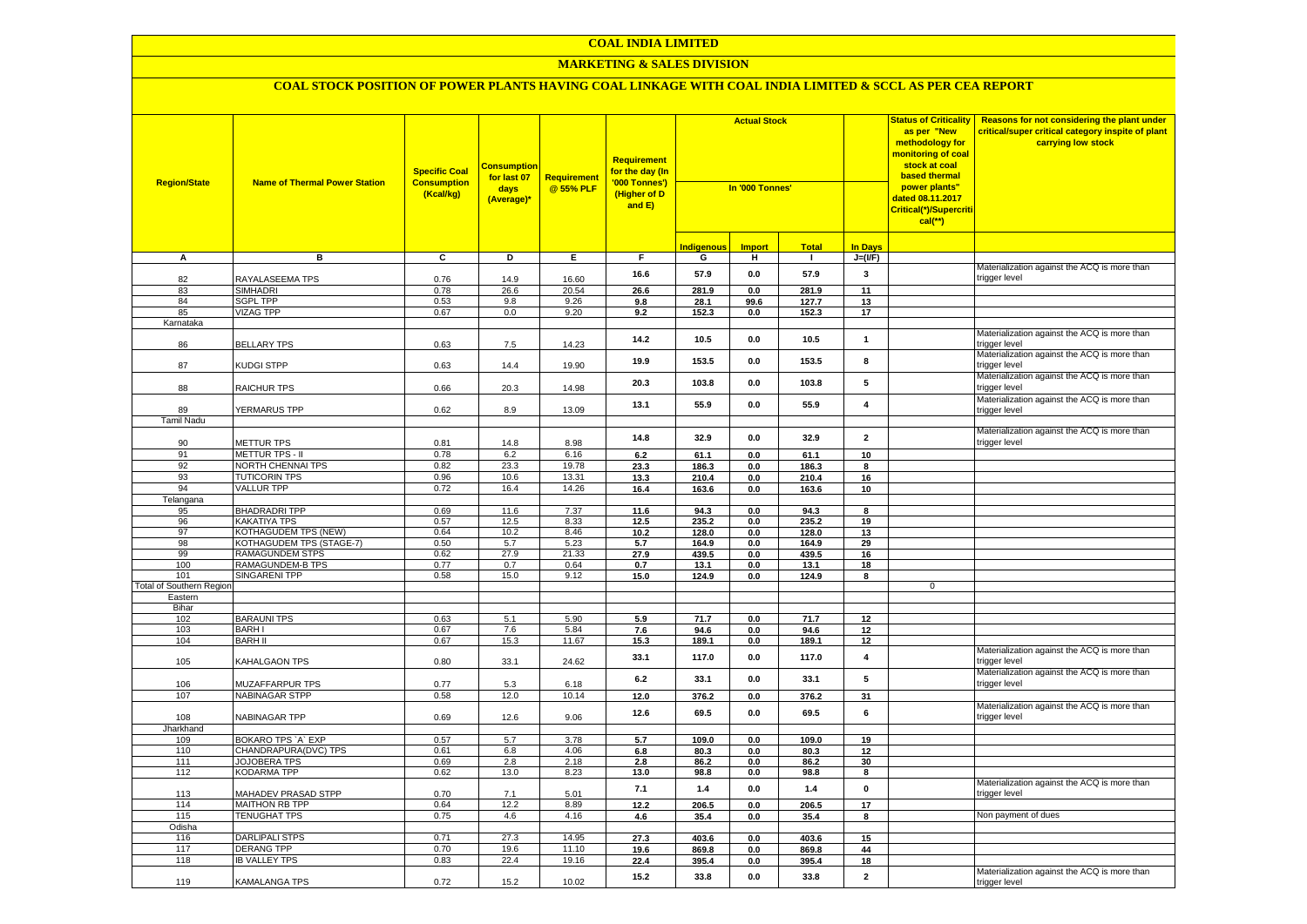### **MARKETING & SALES DIVISION**

| <b>Region/State</b>             | <b>Name of Thermal Power Station</b>                    | <b>Specific Coal</b><br><b>Consumption</b><br>(Kcal/kg) | <b>Consumption</b><br>for last 07<br>days<br>(Average)* | Requirement<br>@ 55% PLF | <b>Requirement</b><br>for the day (In<br>'000 Tonnes')<br>(Higher of D<br>and E) | <b>Actual Stock</b><br>In '000 Tonnes' |               | <b>Status of Criticality</b><br>as per "New<br>methodology for<br>monitoring of coal<br>stock at coal<br>based thermal<br>power plants"<br>dated 08.11.2017<br>Critical(*)/Supercriti<br>$cal$ (**) |                         | Reasons for not considering the plant under<br>critical/super critical category inspite of plant<br>carrying low stock |                                                               |
|---------------------------------|---------------------------------------------------------|---------------------------------------------------------|---------------------------------------------------------|--------------------------|----------------------------------------------------------------------------------|----------------------------------------|---------------|-----------------------------------------------------------------------------------------------------------------------------------------------------------------------------------------------------|-------------------------|------------------------------------------------------------------------------------------------------------------------|---------------------------------------------------------------|
|                                 |                                                         |                                                         |                                                         |                          |                                                                                  | <b>Indigenous</b>                      | <b>Import</b> | <b>Total</b>                                                                                                                                                                                        | <b>In Days</b>          |                                                                                                                        |                                                               |
| A                               | в                                                       | c                                                       | D                                                       | Е                        | F                                                                                | G                                      | Ŧ             | $\mathbf{I}$                                                                                                                                                                                        | $J=(I/F)$               |                                                                                                                        |                                                               |
|                                 |                                                         |                                                         |                                                         |                          | 16.6                                                                             | 57.9                                   | $0.0\,$       | 57.9                                                                                                                                                                                                | 3                       |                                                                                                                        | Materialization against the ACQ is more than                  |
| 82                              | RAYALASEEMA TPS                                         | 0.76                                                    | 14.9                                                    | 16.60                    |                                                                                  |                                        |               |                                                                                                                                                                                                     |                         |                                                                                                                        | trigger level                                                 |
| 83<br>84                        | <b>SIMHADRI</b><br><b>SGPL TPP</b>                      | 0.78<br>0.53                                            | 26.6<br>9.8                                             | 20.54<br>9.26            | 26.6<br>9.8                                                                      | 281.9<br>28.1                          | 0.0<br>99.6   | 281.9<br>127.7                                                                                                                                                                                      | 11<br>13                |                                                                                                                        |                                                               |
| 85                              | <b>VIZAG TPP</b>                                        | 0.67                                                    | 0.0                                                     | 9.20                     | 9.2                                                                              | 152.3                                  | 0.0           | 152.3                                                                                                                                                                                               | 17                      |                                                                                                                        |                                                               |
| Karnataka                       |                                                         |                                                         |                                                         |                          |                                                                                  |                                        |               |                                                                                                                                                                                                     |                         |                                                                                                                        |                                                               |
| 86                              | <b>BELLARY TPS</b>                                      | 0.63                                                    | 7.5                                                     | 14.23                    | 14.2                                                                             | 10.5                                   | 0.0           | 10.5                                                                                                                                                                                                | $\mathbf{1}$            |                                                                                                                        | Materialization against the ACQ is more than<br>trigger level |
|                                 |                                                         |                                                         |                                                         |                          | 19.9                                                                             | 153.5                                  | 0.0           | 153.5                                                                                                                                                                                               | 8                       |                                                                                                                        | Materialization against the ACQ is more than                  |
| 87                              | KUDGI STPP                                              | 0.63                                                    | 14.4                                                    | 19.90                    | 20.3                                                                             | 103.8                                  | 0.0           | 103.8                                                                                                                                                                                               | 5                       |                                                                                                                        | trigger level<br>Materialization against the ACQ is more than |
| 88                              | RAICHUR TPS                                             | 0.66                                                    | 20.3                                                    | 14.98                    |                                                                                  |                                        |               |                                                                                                                                                                                                     |                         |                                                                                                                        | trigger level<br>Materialization against the ACQ is more than |
| 89                              | YERMARUS TPP                                            | 0.62                                                    | 8.9                                                     | 13.09                    | 13.1                                                                             | 55.9                                   | 0.0           | 55.9                                                                                                                                                                                                | $\overline{\mathbf{4}}$ |                                                                                                                        | trigger level                                                 |
| Tamil Nadu                      |                                                         |                                                         |                                                         |                          |                                                                                  |                                        |               |                                                                                                                                                                                                     |                         |                                                                                                                        |                                                               |
| 90                              | METTUR TPS                                              | 0.81                                                    | 14.8                                                    | 8.98                     | 14.8                                                                             | 32.9                                   | 0.0           | 32.9                                                                                                                                                                                                | $\overline{\mathbf{2}}$ |                                                                                                                        | Materialization against the ACQ is more than<br>trigger level |
| 91                              | <b>METTUR TPS - II</b>                                  | 0.78                                                    | 6.2                                                     | 6.16                     | 6.2                                                                              | 61.1                                   | 0.0           | 61.1                                                                                                                                                                                                | 10                      |                                                                                                                        |                                                               |
| 92                              | NORTH CHENNAI TPS                                       | 0.82                                                    | 23.3                                                    | 19.78                    | 23.3                                                                             | 186.3                                  | 0.0           | 186.3                                                                                                                                                                                               | $\overline{\mathbf{8}}$ |                                                                                                                        |                                                               |
| 93                              | <b>TUTICORIN TPS</b>                                    | 0.96                                                    | 10.6                                                    | 13.31                    | 13.3                                                                             | 210.4                                  | 0.0           | 210.4                                                                                                                                                                                               | 16                      |                                                                                                                        |                                                               |
| 94                              | <b>VALLUR TPP</b>                                       | 0.72                                                    | 16.4                                                    | 14.26                    | 16.4                                                                             | 163.6                                  | 0.0           | 163.6                                                                                                                                                                                               | 10                      |                                                                                                                        |                                                               |
| Telangana                       |                                                         |                                                         |                                                         |                          |                                                                                  |                                        |               |                                                                                                                                                                                                     |                         |                                                                                                                        |                                                               |
| 95                              | <b>BHADRADRI TPP</b>                                    | 0.69                                                    | 11.6                                                    | 7.37                     | 11.6                                                                             | 94.3                                   | 0.0           | 94.3                                                                                                                                                                                                | 8                       |                                                                                                                        |                                                               |
| 96                              | <b>KAKATIYA TPS</b>                                     | 0.57                                                    | 12.5                                                    | 8.33                     | 12.5                                                                             | 235.2                                  | 0.0           | 235.2                                                                                                                                                                                               | 19                      |                                                                                                                        |                                                               |
| 97<br>98                        | <b>KOTHAGUDEM TPS (NEW)</b><br>KOTHAGUDEM TPS (STAGE-7) | 0.64<br>0.50                                            | 10.2<br>5.7                                             | 8.46<br>5.23             | 10.2<br>5.7                                                                      | 128.0<br>164.9                         | 0.0<br>0.0    | 128.0<br>164.9                                                                                                                                                                                      | 13<br>29                |                                                                                                                        |                                                               |
| 99                              | RAMAGUNDEM STPS                                         | 0.62                                                    | 27.9                                                    | 21.33                    | 27.9                                                                             | 439.5                                  | $0.0\,$       | 439.5                                                                                                                                                                                               | 16                      |                                                                                                                        |                                                               |
| 100                             | RAMAGUNDEM-B TPS                                        | 0.77                                                    | 0.7                                                     | 0.64                     | 0.7                                                                              | 13.1                                   | $0.0\,$       | 13.1                                                                                                                                                                                                | 18                      |                                                                                                                        |                                                               |
| 101                             | <b>SINGARENI TPP</b>                                    | 0.58                                                    | 15.0                                                    | 9.12                     | 15.0                                                                             | 124.9                                  | 0.0           | 124.9                                                                                                                                                                                               | 8                       |                                                                                                                        |                                                               |
| <b>Total of Southern Region</b> |                                                         |                                                         |                                                         |                          |                                                                                  |                                        |               |                                                                                                                                                                                                     |                         | $\mathbf{0}$                                                                                                           |                                                               |
| Eastern                         |                                                         |                                                         |                                                         |                          |                                                                                  |                                        |               |                                                                                                                                                                                                     |                         |                                                                                                                        |                                                               |
| Bihar                           |                                                         |                                                         |                                                         |                          |                                                                                  |                                        |               |                                                                                                                                                                                                     |                         |                                                                                                                        |                                                               |
| 102                             | <b>BARAUNI TPS</b>                                      | 0.63                                                    | 5.1                                                     | 5.90                     | 5.9                                                                              | 71.7                                   | 0.0           | 71.7                                                                                                                                                                                                | 12                      |                                                                                                                        |                                                               |
| 103<br>104                      | <b>BARH I</b><br><b>BARH II</b>                         | 0.67<br>0.67                                            | 7.6<br>15.3                                             | 5.84<br>11.67            | 7.6<br>15.3                                                                      | 94.6<br>189.1                          | 0.0<br>0.0    | 94.6<br>189.1                                                                                                                                                                                       | 12<br>12                |                                                                                                                        |                                                               |
| 105                             | KAHALGAON TPS                                           | 0.80                                                    | 33.1                                                    | 24.62                    | 33.1                                                                             | 117.0                                  | 0.0           | 117.0                                                                                                                                                                                               | $\overline{\mathbf{4}}$ |                                                                                                                        | Materialization against the ACQ is more than<br>trigger level |
|                                 |                                                         |                                                         |                                                         |                          | 6.2                                                                              | 33.1                                   | 0.0           | 33.1                                                                                                                                                                                                | 5                       |                                                                                                                        | Materialization against the ACQ is more than                  |
| 106                             | MUZAFFARPUR TPS                                         | 0.77                                                    | 5.3                                                     | 6.18                     |                                                                                  |                                        |               |                                                                                                                                                                                                     |                         |                                                                                                                        | trigger level                                                 |
| 107                             | <b>NABINAGAR STPP</b>                                   | 0.58                                                    | 12.0                                                    | 10.14                    | 12.0                                                                             | 376.2                                  | 0.0           | 376.2                                                                                                                                                                                               | 31                      |                                                                                                                        | Materialization against the ACQ is more than                  |
| 108                             | NABINAGAR TPP                                           | 0.69                                                    | 12.6                                                    | 9.06                     | 12.6                                                                             | 69.5                                   | 0.0           | 69.5                                                                                                                                                                                                | 6                       |                                                                                                                        | trigger level                                                 |
| Jharkhand                       |                                                         |                                                         |                                                         |                          |                                                                                  |                                        |               |                                                                                                                                                                                                     |                         |                                                                                                                        |                                                               |
| 109                             | BOKARO TPS 'A' EXP                                      | 0.57                                                    | 5.7                                                     | 3.78                     | 5.7                                                                              | 109.0                                  | 0.0           | 109.0                                                                                                                                                                                               | 19                      |                                                                                                                        |                                                               |
| 110<br>111                      | CHANDRAPURA(DVC) TPS<br><b>JOJOBERA TPS</b>             | 0.61<br>0.69                                            | 6.8<br>2.8                                              | 4.06<br>2.18             | 6.8<br>2.8                                                                       | 80.3<br>86.2                           | 0.0<br>0.0    | 80.3<br>86.2                                                                                                                                                                                        | 12<br>30                |                                                                                                                        |                                                               |
| 112                             | <b>KODARMA TPP</b>                                      | 0.62                                                    | 13.0                                                    | 8.23                     | 13.0                                                                             | 98.8                                   | $0.0\,$       | 98.8                                                                                                                                                                                                | 8                       |                                                                                                                        |                                                               |
| 113                             |                                                         | 0.70                                                    | 7.1                                                     | 5.01                     | 7.1                                                                              | 1.4                                    | 0.0           | 1.4                                                                                                                                                                                                 | $\mathbf{0}$            |                                                                                                                        | Materialization against the ACQ is more than                  |
| 114                             | MAHADEV PRASAD STPP<br>MAITHON RB TPP                   | 0.64                                                    | 12.2                                                    | 8.89                     | 12.2                                                                             | 206.5                                  | 0.0           | 206.5                                                                                                                                                                                               | 17                      |                                                                                                                        | trigger level                                                 |
| 115                             | <b>TENUGHAT TPS</b>                                     | 0.75                                                    | 4.6                                                     | 4.16                     | 4.6                                                                              | 35.4                                   | 0.0           | 35.4                                                                                                                                                                                                | 8                       |                                                                                                                        | Non payment of dues                                           |
| Odisha                          |                                                         |                                                         |                                                         |                          |                                                                                  |                                        |               |                                                                                                                                                                                                     |                         |                                                                                                                        |                                                               |
| 116                             | DARLIPALI STPS                                          | 0.71                                                    | 27.3                                                    | 14.95                    | 27.3                                                                             | 403.6                                  | 0.0           | 403.6                                                                                                                                                                                               | 15                      |                                                                                                                        |                                                               |
| 117                             | <b>DERANG TPP</b>                                       | 0.70                                                    | 19.6                                                    | 11.10                    | 19.6                                                                             | 869.8                                  | 0.0           | 869.8                                                                                                                                                                                               | 44                      |                                                                                                                        |                                                               |
| 118                             | <b>IB VALLEY TPS</b>                                    | 0.83                                                    | 22.4                                                    | 19.16                    | 22.4                                                                             | 395.4                                  | $0.0\,$       | 395.4                                                                                                                                                                                               | 18                      |                                                                                                                        |                                                               |
| 119                             | <b>KAMALANGA TPS</b>                                    | 0.72                                                    | 15.2                                                    | 10.02                    | 15.2                                                                             | 33.8                                   | 0.0           | 33.8                                                                                                                                                                                                | $\overline{2}$          |                                                                                                                        | Materialization against the ACQ is more than<br>trigger level |